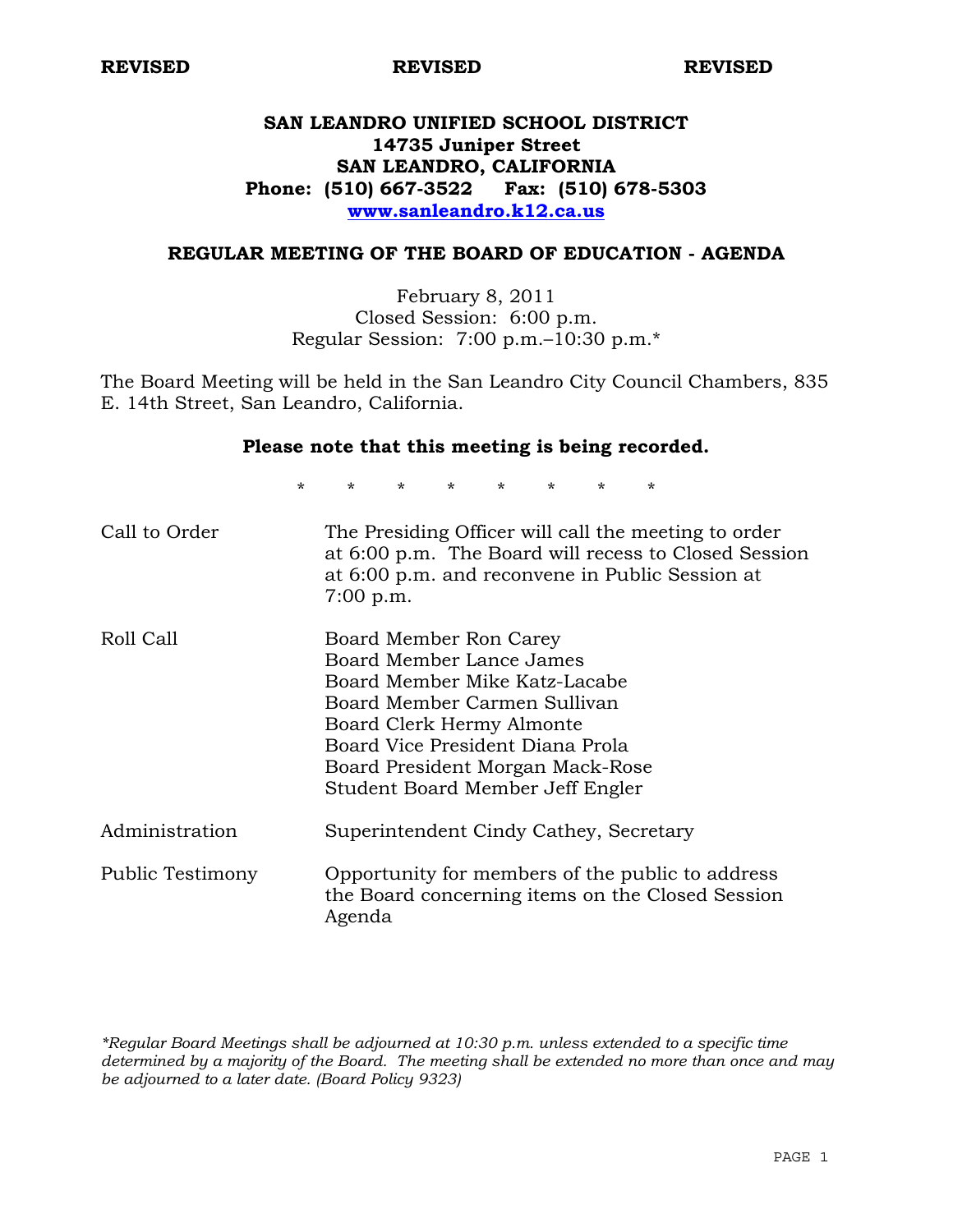## **SAN LEANDRO UNIFIED SCHOOL DISTRICT 14735 Juniper Street SAN LEANDRO, CALIFORNIA Phone: (510) 667-3522 Fax: (510) 678-5303 www.sanleandro.k12.ca.us**

## **REGULAR MEETING OF THE BOARD OF EDUCATION - AGENDA**

February 8, 2011 Closed Session: 6:00 p.m. Regular Session: 7:00 p.m.–10:30 p.m.\*

The Board Meeting will be held in the San Leandro City Council Chambers, 835 E. 14th Street, San Leandro, California.

### **Please note that this meeting is being recorded.**

\* \* \* \* \* \* \* \*

| Call to Order    | The Presiding Officer will call the meeting to order<br>at 6:00 p.m. The Board will recess to Closed Session<br>at 6:00 p.m. and reconvene in Public Session at<br>7:00 p.m.                                                                                 |
|------------------|--------------------------------------------------------------------------------------------------------------------------------------------------------------------------------------------------------------------------------------------------------------|
| Roll Call        | Board Member Ron Carey<br>Board Member Lance James<br>Board Member Mike Katz-Lacabe<br>Board Member Carmen Sullivan<br>Board Clerk Hermy Almonte<br>Board Vice President Diana Prola<br>Board President Morgan Mack-Rose<br>Student Board Member Jeff Engler |
| Administration   | Superintendent Cindy Cathey, Secretary                                                                                                                                                                                                                       |
| Public Testimony | Opportunity for members of the public to address<br>the Board concerning items on the Closed Session<br>Agenda                                                                                                                                               |

*\*Regular Board Meetings shall be adjourned at 10:30 p.m. unless extended to a specific time determined by a majority of the Board. The meeting shall be extended no more than once and may be adjourned to a later date. (Board Policy 9323)*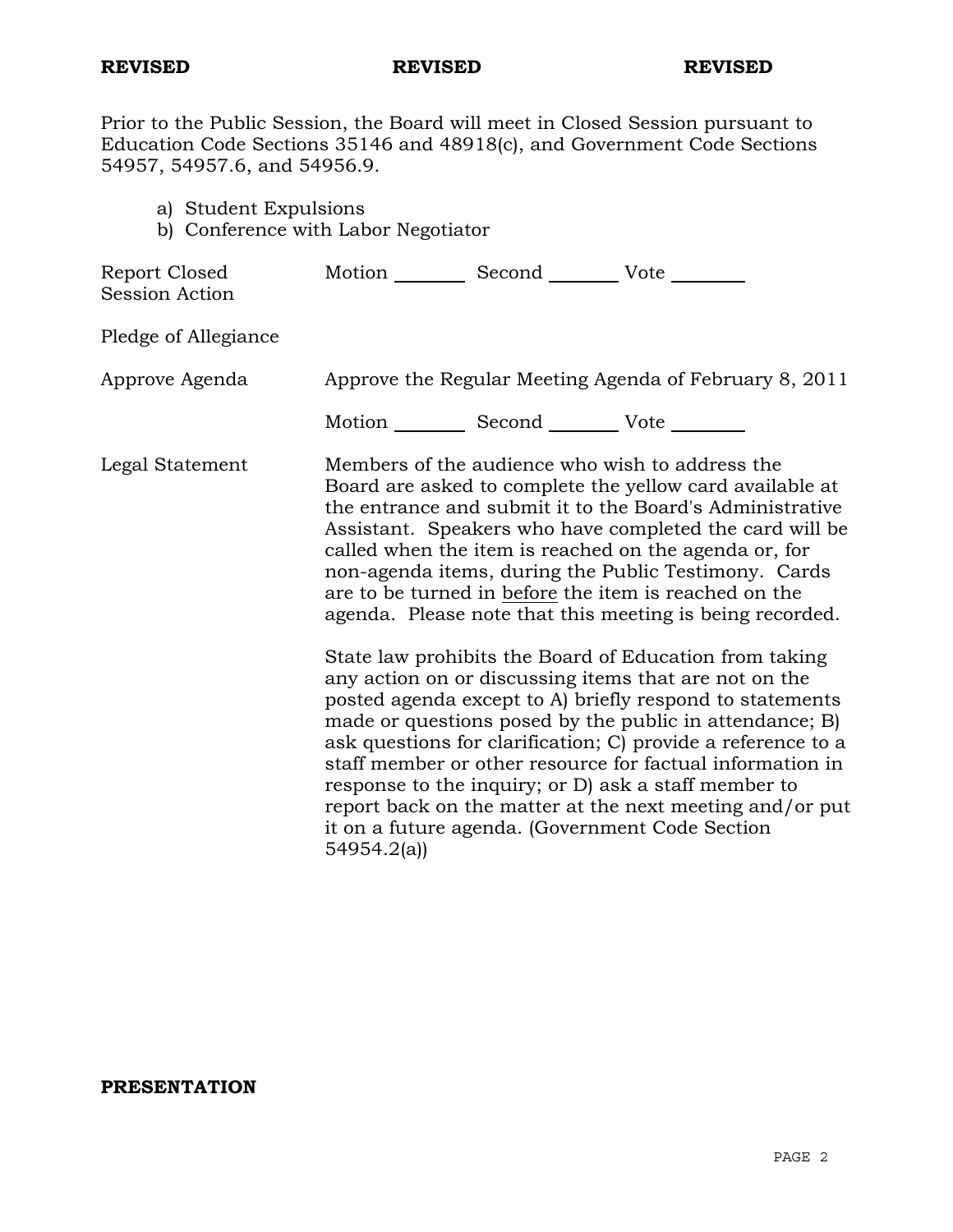Prior to the Public Session, the Board will meet in Closed Session pursuant to Education Code Sections 35146 and 48918(c), and Government Code Sections 54957, 54957.6, and 54956.9.

- a) Student Expulsions
- b) Conference with Labor Negotiator

| Report Closed<br>Session Action | Motion __________ Second __________ Vote ________ |                                                                                                                                                                                                                                                                                                                                                                                                                                                                                                                                                                                                                                                                                                                                                                                                                                                                                                                                                                                                                        |
|---------------------------------|---------------------------------------------------|------------------------------------------------------------------------------------------------------------------------------------------------------------------------------------------------------------------------------------------------------------------------------------------------------------------------------------------------------------------------------------------------------------------------------------------------------------------------------------------------------------------------------------------------------------------------------------------------------------------------------------------------------------------------------------------------------------------------------------------------------------------------------------------------------------------------------------------------------------------------------------------------------------------------------------------------------------------------------------------------------------------------|
| Pledge of Allegiance            |                                                   |                                                                                                                                                                                                                                                                                                                                                                                                                                                                                                                                                                                                                                                                                                                                                                                                                                                                                                                                                                                                                        |
| Approve Agenda                  |                                                   | Approve the Regular Meeting Agenda of February 8, 2011                                                                                                                                                                                                                                                                                                                                                                                                                                                                                                                                                                                                                                                                                                                                                                                                                                                                                                                                                                 |
|                                 | Motion __________ Second __________ Vote ________ |                                                                                                                                                                                                                                                                                                                                                                                                                                                                                                                                                                                                                                                                                                                                                                                                                                                                                                                                                                                                                        |
| Legal Statement                 | 54954.2(a)                                        | Members of the audience who wish to address the<br>Board are asked to complete the yellow card available at<br>the entrance and submit it to the Board's Administrative<br>Assistant. Speakers who have completed the card will be<br>called when the item is reached on the agenda or, for<br>non-agenda items, during the Public Testimony. Cards<br>are to be turned in before the item is reached on the<br>agenda. Please note that this meeting is being recorded.<br>State law prohibits the Board of Education from taking<br>any action on or discussing items that are not on the<br>posted agenda except to A) briefly respond to statements<br>made or questions posed by the public in attendance; B)<br>ask questions for clarification; C) provide a reference to a<br>staff member or other resource for factual information in<br>response to the inquiry; or D) ask a staff member to<br>report back on the matter at the next meeting and/or put<br>it on a future agenda. (Government Code Section |

## **PRESENTATION**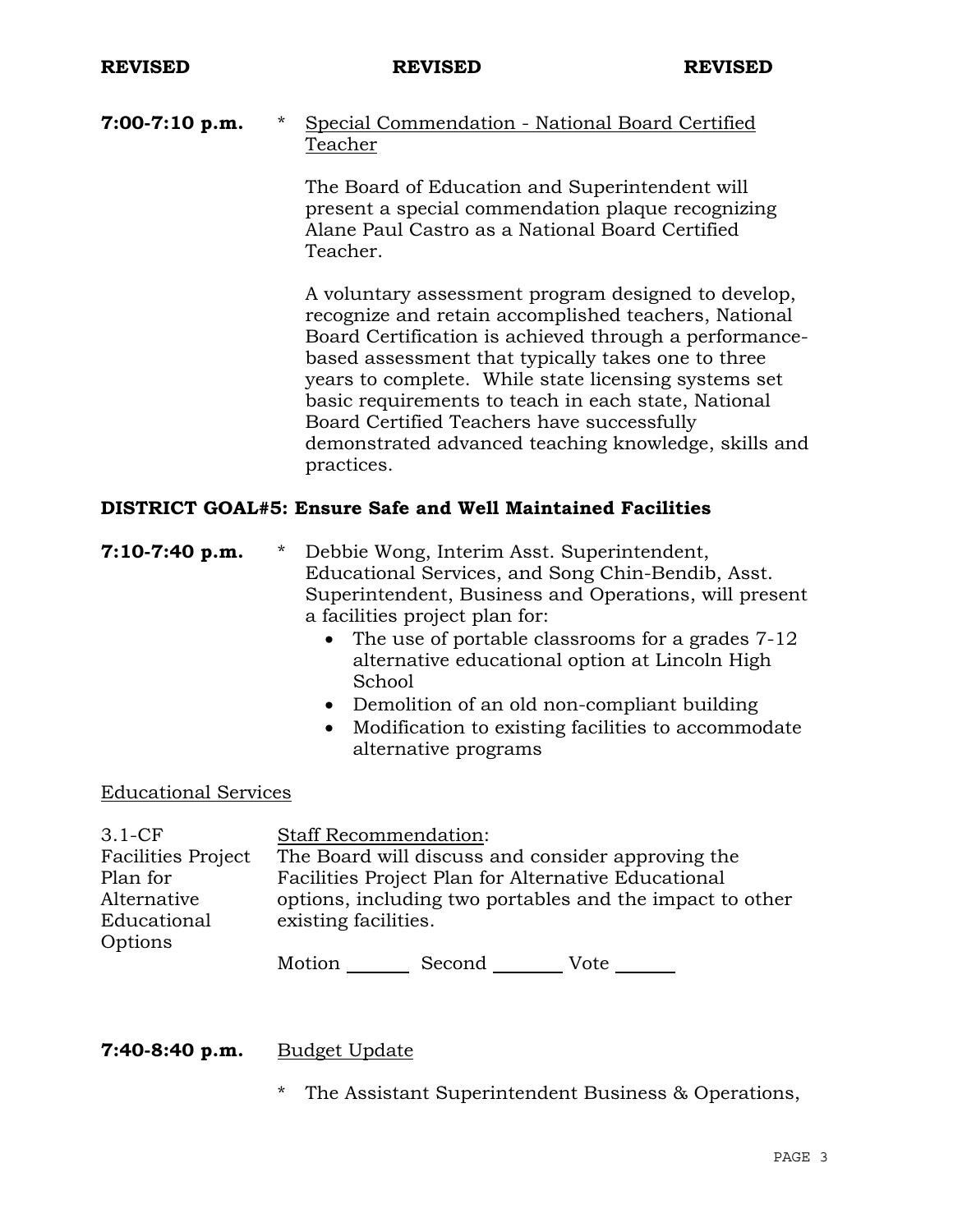**7:00-7:10 p.m.** \* Special Commendation - National Board Certified Teacher

> The Board of Education and Superintendent will present a special commendation plaque recognizing Alane Paul Castro as a National Board Certified Teacher.

 A voluntary assessment program designed to develop, recognize and retain accomplished teachers, National Board Certification is achieved through a performancebased assessment that typically takes one to three years to complete. While state licensing systems set basic requirements to teach in each state, National Board Certified Teachers have successfully demonstrated advanced teaching knowledge, skills and practices.

## **DISTRICT GOAL#5: Ensure Safe and Well Maintained Facilities**

- **7:10-7:40 p.m.** \* Debbie Wong, Interim Asst. Superintendent, Educational Services, and Song Chin-Bendib, Asst. Superintendent, Business and Operations, will present a facilities project plan for:
	- The use of portable classrooms for a grades  $7-12$ alternative educational option at Lincoln High School
	- Demolition of an old non-compliant building
	- Modification to existing facilities to accommodate alternative programs

## Educational Services

| $3.1-CF$                  | <b>Staff Recommendation:</b> |        |                                                          |
|---------------------------|------------------------------|--------|----------------------------------------------------------|
| <b>Facilities Project</b> |                              |        | The Board will discuss and consider approving the        |
| Plan for                  |                              |        | Facilities Project Plan for Alternative Educational      |
| Alternative               |                              |        | options, including two portables and the impact to other |
| Educational               | existing facilities.         |        |                                                          |
| Options                   |                              |        |                                                          |
|                           | Motion                       | Second | Vote                                                     |

## **7:40-8:40 p.m.** Budget Update

The Assistant Superintendent Business & Operations,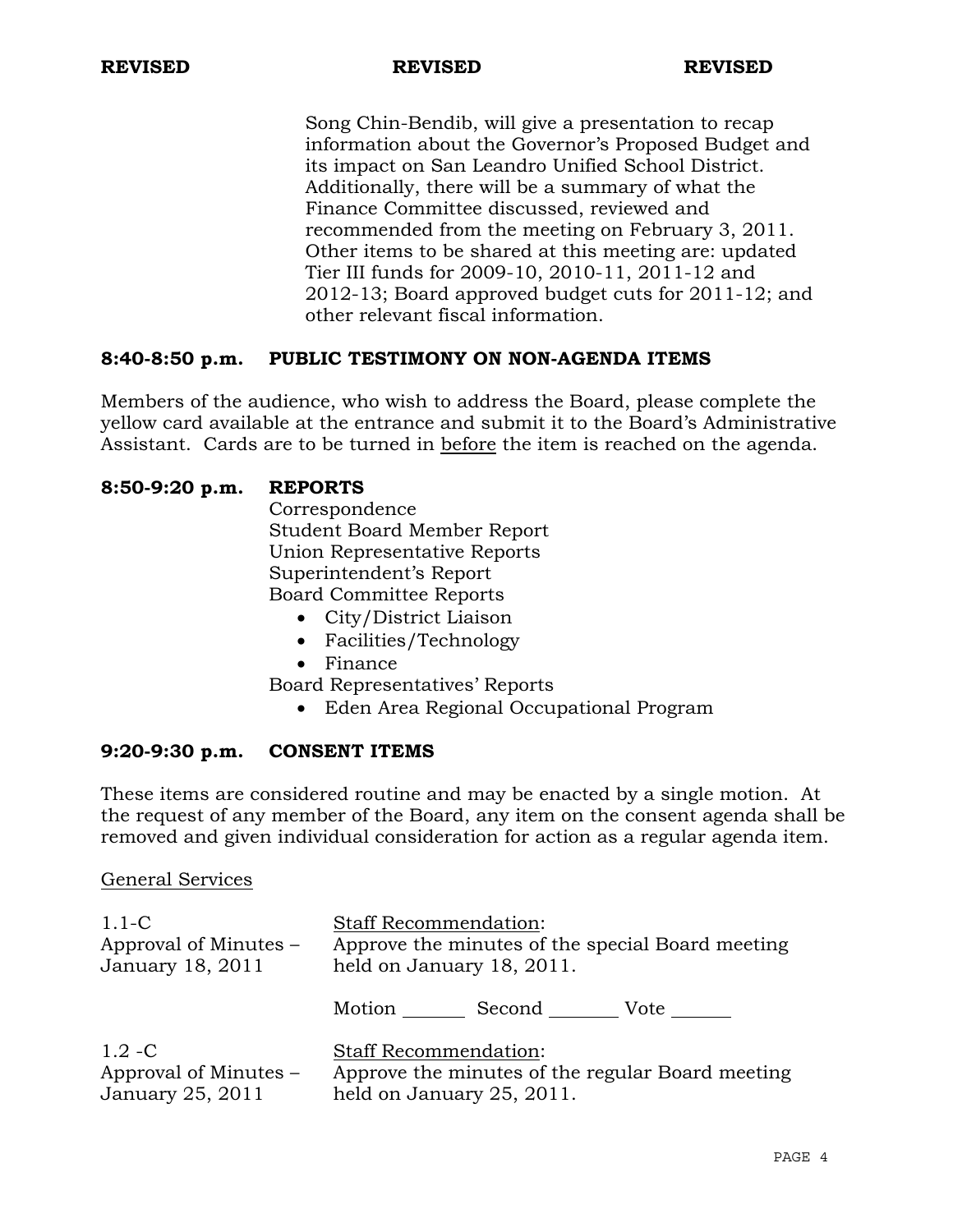Song Chin-Bendib, will give a presentation to recap information about the Governor's Proposed Budget and its impact on San Leandro Unified School District. Additionally, there will be a summary of what the Finance Committee discussed, reviewed and recommended from the meeting on February 3, 2011. Other items to be shared at this meeting are: updated Tier III funds for 2009-10, 2010-11, 2011-12 and 2012-13; Board approved budget cuts for 2011-12; and other relevant fiscal information.

## **8:40-8:50 p.m. PUBLIC TESTIMONY ON NON-AGENDA ITEMS**

Members of the audience, who wish to address the Board, please complete the yellow card available at the entrance and submit it to the Board's Administrative Assistant. Cards are to be turned in before the item is reached on the agenda.

## **8:50-9:20 p.m. REPORTS**

 Correspondence Student Board Member Report Union Representative Reports Superintendent's Report Board Committee Reports

- City/District Liaison
- Facilities/Technology
- Finance

Board Representatives' Reports

Eden Area Regional Occupational Program

## **9:20-9:30 p.m. CONSENT ITEMS**

These items are considered routine and may be enacted by a single motion. At the request of any member of the Board, any item on the consent agenda shall be removed and given individual consideration for action as a regular agenda item.

### General Services

| $1.1-C$               | <b>Staff Recommendation:</b>                     |  |  |
|-----------------------|--------------------------------------------------|--|--|
| Approval of Minutes – | Approve the minutes of the special Board meeting |  |  |
| January 18, 2011      | held on January 18, 2011.                        |  |  |
|                       | Second<br>Motion<br>Vote                         |  |  |
| $1.2 - C$             | <b>Staff Recommendation:</b>                     |  |  |
| Approval of Minutes – | Approve the minutes of the regular Board meeting |  |  |
| January 25, 2011      | held on January 25, 2011.                        |  |  |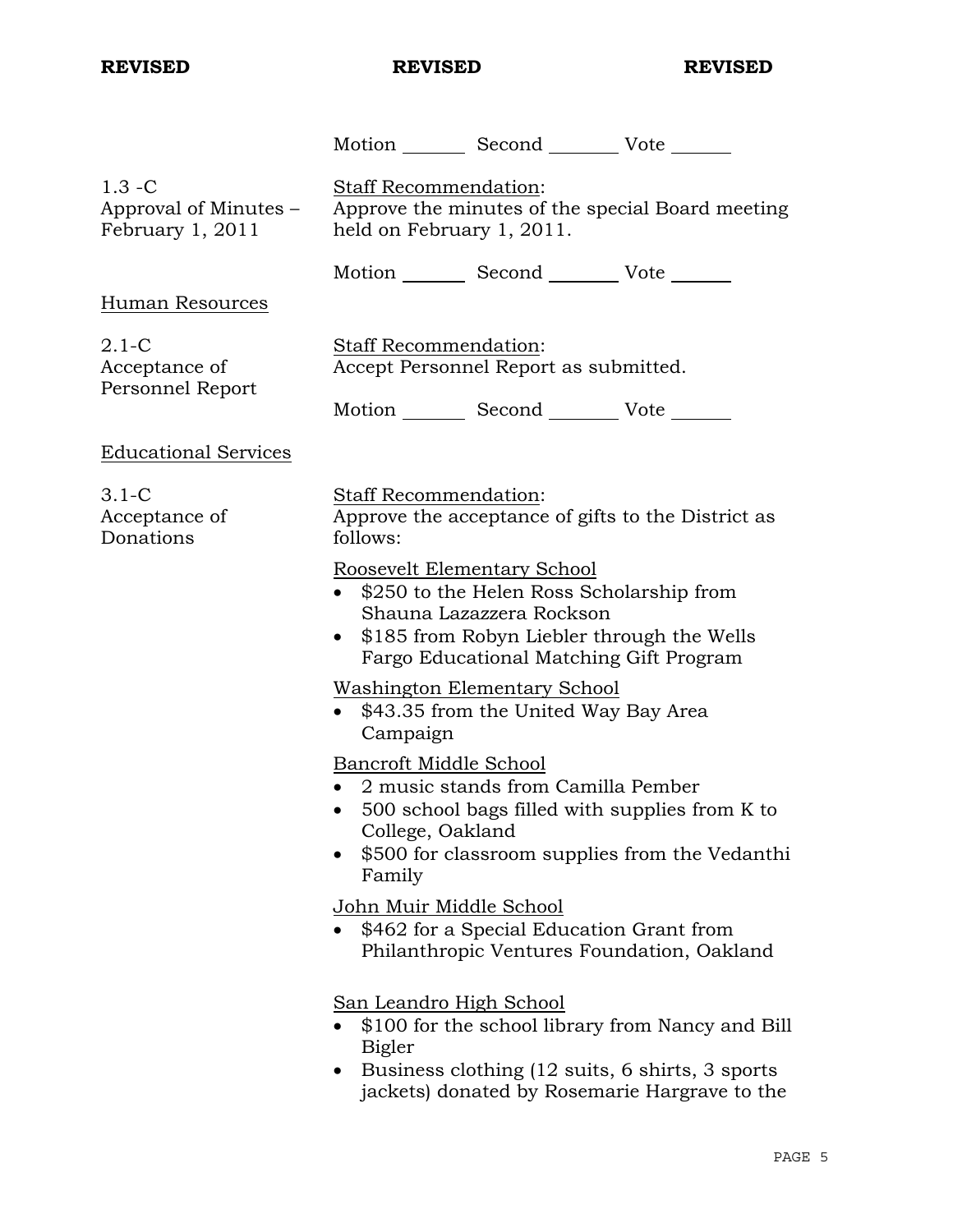|                                                        |                                                                                                               | Motion _________ Second __________ Vote _______                                                                                                               |                                                                                                                                                      |
|--------------------------------------------------------|---------------------------------------------------------------------------------------------------------------|---------------------------------------------------------------------------------------------------------------------------------------------------------------|------------------------------------------------------------------------------------------------------------------------------------------------------|
| $1.3 - C$<br>Approval of Minutes –<br>February 1, 2011 | <b>Staff Recommendation:</b><br>Approve the minutes of the special Board meeting<br>held on February 1, 2011. |                                                                                                                                                               |                                                                                                                                                      |
|                                                        |                                                                                                               | Motion _________ Second __________ Vote _______                                                                                                               |                                                                                                                                                      |
| Human Resources                                        |                                                                                                               |                                                                                                                                                               |                                                                                                                                                      |
| $2.1-C$<br>Acceptance of<br>Personnel Report           | <b>Staff Recommendation:</b>                                                                                  | Accept Personnel Report as submitted.                                                                                                                         |                                                                                                                                                      |
|                                                        |                                                                                                               | Motion _________ Second __________ Vote _______                                                                                                               |                                                                                                                                                      |
| <b>Educational Services</b>                            |                                                                                                               |                                                                                                                                                               |                                                                                                                                                      |
| $3.1-C$<br>Acceptance of<br>Donations                  | Staff Recommendation:<br>follows:                                                                             |                                                                                                                                                               | Approve the acceptance of gifts to the District as                                                                                                   |
|                                                        | Roosevelt Elementary School<br>$\bullet$                                                                      | \$250 to the Helen Ross Scholarship from<br>Shauna Lazazzera Rockson<br>\$185 from Robyn Liebler through the Wells<br>Fargo Educational Matching Gift Program |                                                                                                                                                      |
|                                                        | $\bullet$<br>Campaign                                                                                         | <b>Washington Elementary School</b><br>\$43.35 from the United Way Bay Area                                                                                   |                                                                                                                                                      |
|                                                        | Bancroft Middle School<br>College, Oakland<br>Family                                                          | 2 music stands from Camilla Pember                                                                                                                            | 500 school bags filled with supplies from K to<br>\$500 for classroom supplies from the Vedanthi                                                     |
|                                                        | John Muir Middle School                                                                                       | \$462 for a Special Education Grant from                                                                                                                      | Philanthropic Ventures Foundation, Oakland                                                                                                           |
|                                                        | San Leandro High School<br>Bigler<br>$\bullet$                                                                |                                                                                                                                                               | \$100 for the school library from Nancy and Bill<br>Business clothing (12 suits, 6 shirts, 3 sports<br>jackets) donated by Rosemarie Hargrave to the |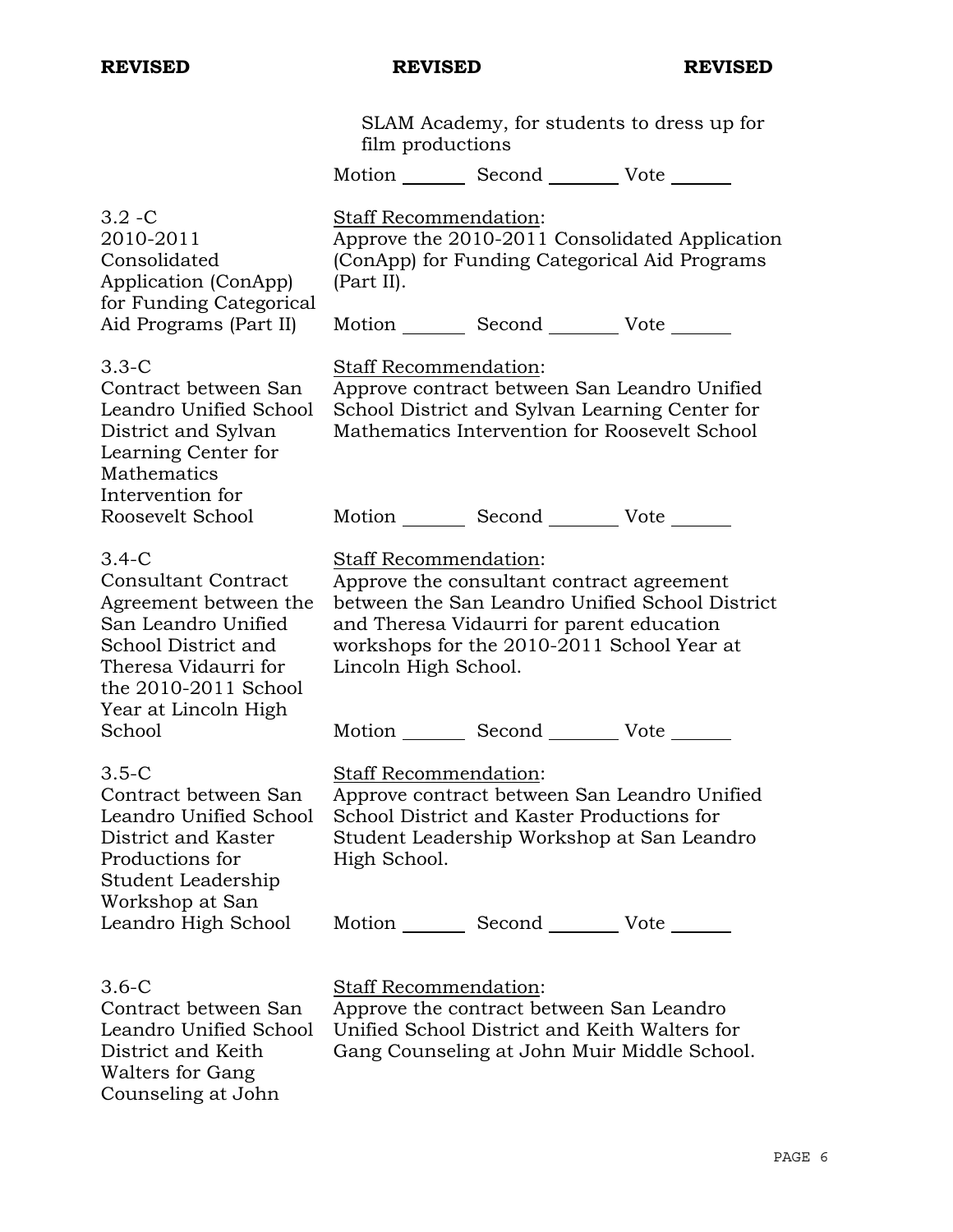Staff Recommendation:

Staff Recommendation:

(Part II).

SLAM Academy, for students to dress up for film productions

Approve the 2010-2011 Consolidated Application (ConApp) for Funding Categorical Aid Programs

Motion Second Vote

Motion Second Vote

Motion Second Vote

Approve contract between San Leandro Unified School District and Sylvan Learning Center for Mathematics Intervention for Roosevelt School

3.2 -C 2010-2011 Consolidated Application (ConApp) for Funding Categorical Aid Programs (Part II)

3.3-C

Contract between San Leandro Unified School District and Sylvan Learning Center for **Mathematics** Intervention for Roosevelt School

## 3.4-C

Consultant Contract Agreement between the San Leandro Unified School District and Theresa Vidaurri for the 2010-2011 School Year at Lincoln High School

## 3.5-C

Contract between San Leandro Unified School District and Kaster Productions for Student Leadership Workshop at San Leandro High School

Staff Recommendation:

Approve the consultant contract agreement between the San Leandro Unified School District and Theresa Vidaurri for parent education workshops for the 2010-2011 School Year at Lincoln High School.

Motion Second Vote

Staff Recommendation:

Approve contract between San Leandro Unified School District and Kaster Productions for Student Leadership Workshop at San Leandro High School.

Motion Second Vote

3.6-C

Contract between San Leandro Unified School District and Keith Walters for Gang Counseling at John

## Staff Recommendation:

Approve the contract between San Leandro Unified School District and Keith Walters for Gang Counseling at John Muir Middle School.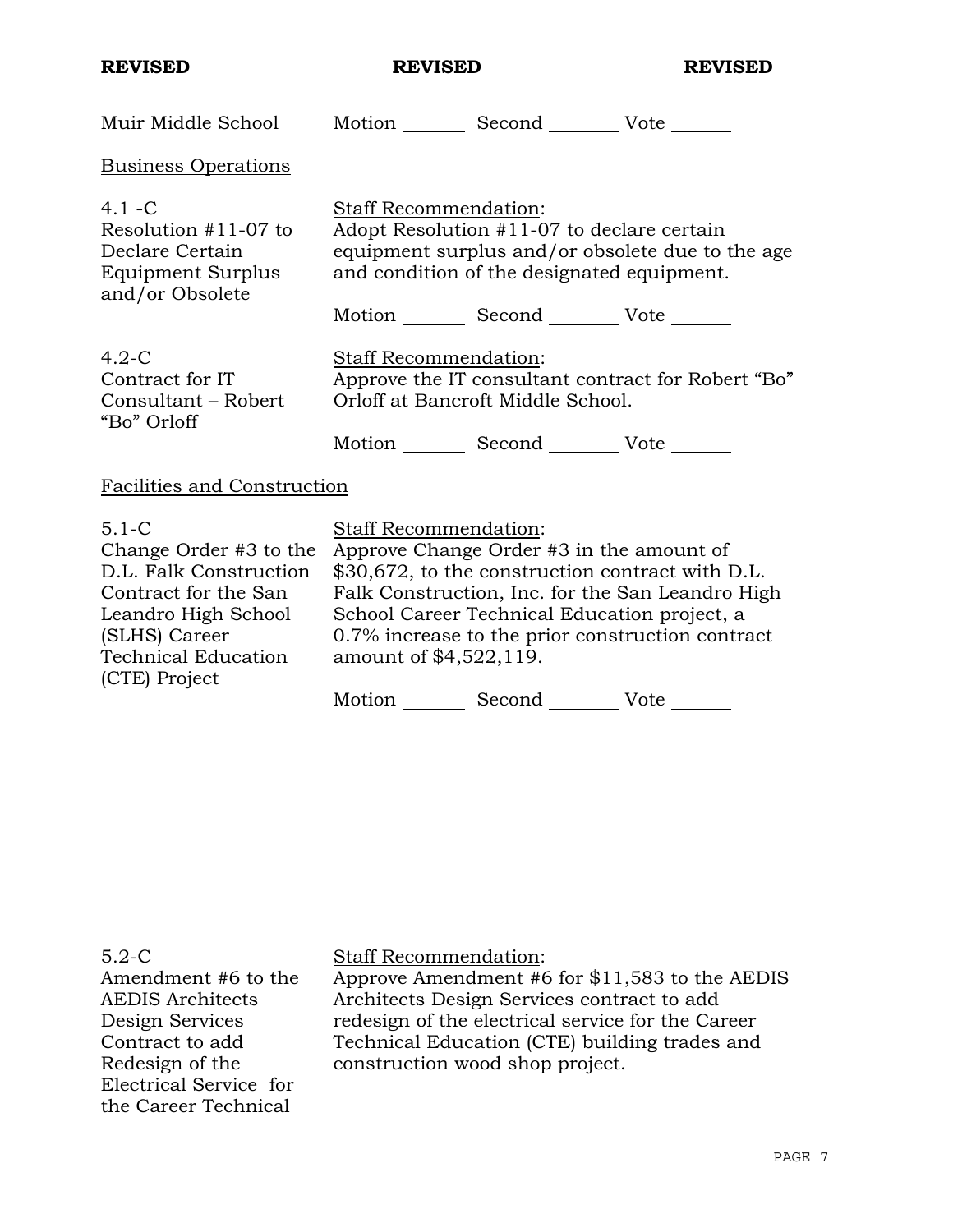| <b>REVISED</b>                                                                                 | <b>REVISED</b>                                                                                                                                                                                   | <b>REVISED</b> |
|------------------------------------------------------------------------------------------------|--------------------------------------------------------------------------------------------------------------------------------------------------------------------------------------------------|----------------|
| Muir Middle School                                                                             | Motion Second Vote                                                                                                                                                                               |                |
| <b>Business Operations</b>                                                                     |                                                                                                                                                                                                  |                |
| $4.1 - C$<br>Resolution $#11-07$ to<br>Declare Certain<br>Equipment Surplus<br>and/or Obsolete | Staff Recommendation:<br>Adopt Resolution #11-07 to declare certain<br>equipment surplus and/or obsolete due to the age<br>and condition of the designated equipment.                            |                |
|                                                                                                | Motion _________ Second __________ Vote _______                                                                                                                                                  |                |
| $4.2-C$<br>Contract for IT<br>Consultant - Robert<br>"Bo" Orloff                               | Staff Recommendation:<br>Approve the IT consultant contract for Robert "Bo"<br>Orloff at Bancroft Middle School.<br>Motion _________ Second __________ Vote _______                              |                |
| Facilities and Construction                                                                    |                                                                                                                                                                                                  |                |
| $5.1-C$<br>D.L. Falk Construction<br>Contract for the San                                      | Staff Recommendation:<br>Change Order #3 to the Approve Change Order #3 in the amount of<br>\$30,672, to the construction contract with D.L.<br>Falk Construction. Inc. for the San Leandro High |                |

Contract for the San Leandro High School (SLHS) Career Technical Education (CTE) Project

ic. for the San Leandro High School Career Technical Education project, a 0.7% increase to the prior construction contract amount of \$4,522,119.

Motion Second Vote

5.2-C

Amendment #6 to the AEDIS Architects Design Services Contract to add Redesign of the Electrical Service for the Career Technical

## Staff Recommendation:

Approve Amendment #6 for \$11,583 to the AEDIS Architects Design Services contract to add redesign of the electrical service for the Career Technical Education (CTE) building trades and construction wood shop project.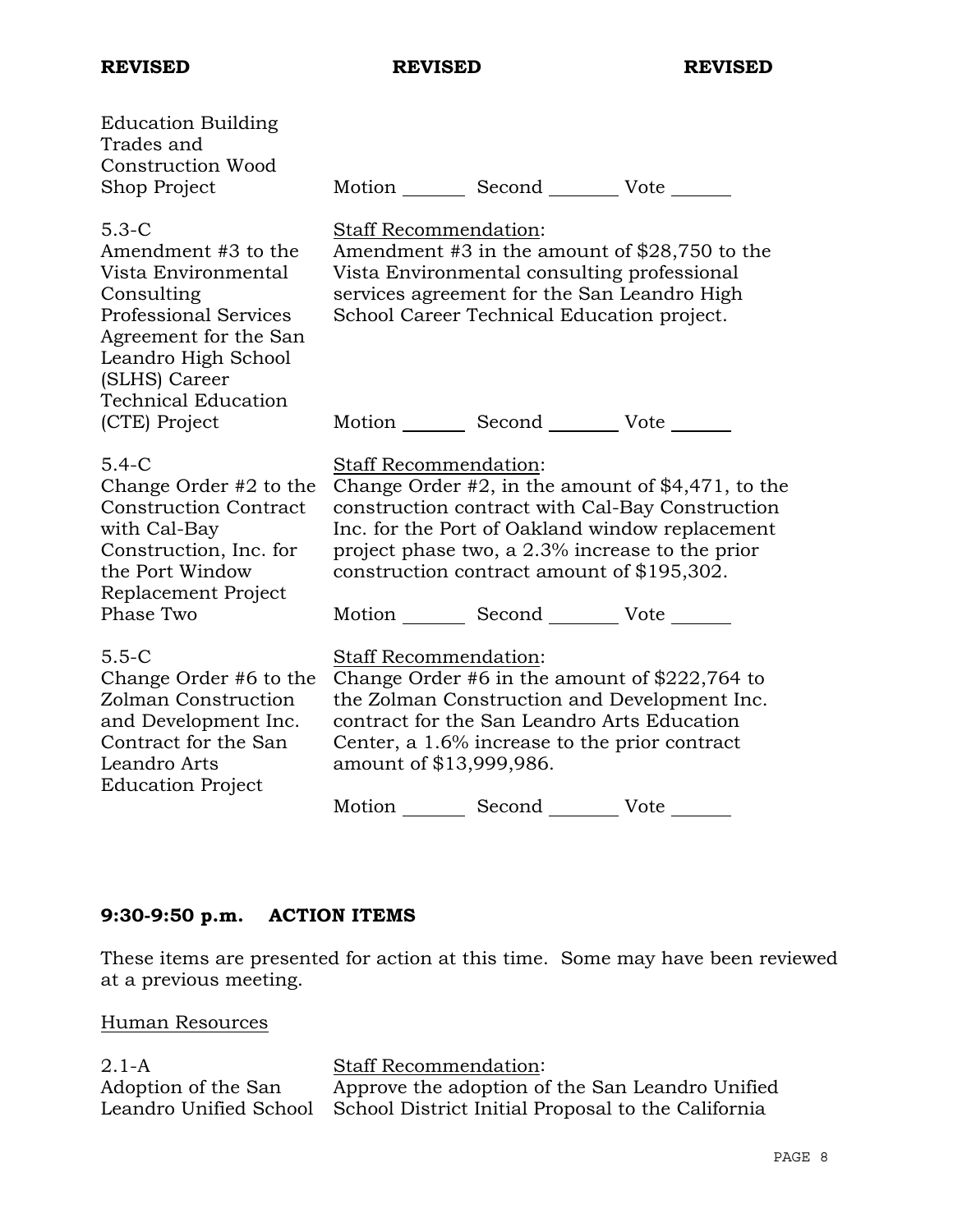| <b>Education Building</b><br>Trades and<br><b>Construction Wood</b><br>Shop Project                                                                                                                | Motion _________ Second __________ Vote _______                                                                                                                                                                                                                                                            |
|----------------------------------------------------------------------------------------------------------------------------------------------------------------------------------------------------|------------------------------------------------------------------------------------------------------------------------------------------------------------------------------------------------------------------------------------------------------------------------------------------------------------|
| $5.3-C$<br>Amendment #3 to the<br>Vista Environmental<br>Consulting<br><b>Professional Services</b><br>Agreement for the San<br>Leandro High School<br>(SLHS) Career<br><b>Technical Education</b> | Staff Recommendation:<br>Amendment #3 in the amount of $$28,750$ to the<br>Vista Environmental consulting professional<br>services agreement for the San Leandro High<br>School Career Technical Education project.                                                                                        |
| (CTE) Project                                                                                                                                                                                      | Motion _________ Second __________ Vote _______                                                                                                                                                                                                                                                            |
| $5.4 - C$<br>Change Order #2 to the<br><b>Construction Contract</b><br>with Cal-Bay<br>Construction, Inc. for<br>the Port Window<br>Replacement Project<br>Phase Two                               | Staff Recommendation:<br>Change Order $#2$ , in the amount of \$4,471, to the<br>construction contract with Cal-Bay Construction<br>Inc. for the Port of Oakland window replacement<br>project phase two, a 2.3% increase to the prior<br>construction contract amount of \$195,302.<br>Motion Second Vote |
| $5.5-C$<br>Change Order #6 to the<br>Zolman Construction<br>and Development Inc.<br>Contract for the San<br>Leandro Arts<br><b>Education Project</b>                                               | <b>Staff Recommendation:</b><br>Change Order #6 in the amount of $$222,764$ to<br>the Zolman Construction and Development Inc.<br>contract for the San Leandro Arts Education<br>Center, a 1.6% increase to the prior contract<br>amount of \$13,999,986.                                                  |
|                                                                                                                                                                                                    | Motion ________<br>Second<br>Vote                                                                                                                                                                                                                                                                          |

# **9:30-9:50 p.m. ACTION ITEMS**

These items are presented for action at this time. Some may have been reviewed at a previous meeting.

Human Resources

| $2.1-A$             | <b>Staff Recommendation:</b>                                              |
|---------------------|---------------------------------------------------------------------------|
| Adoption of the San | Approve the adoption of the San Leandro Unified                           |
|                     | Leandro Unified School School District Initial Proposal to the California |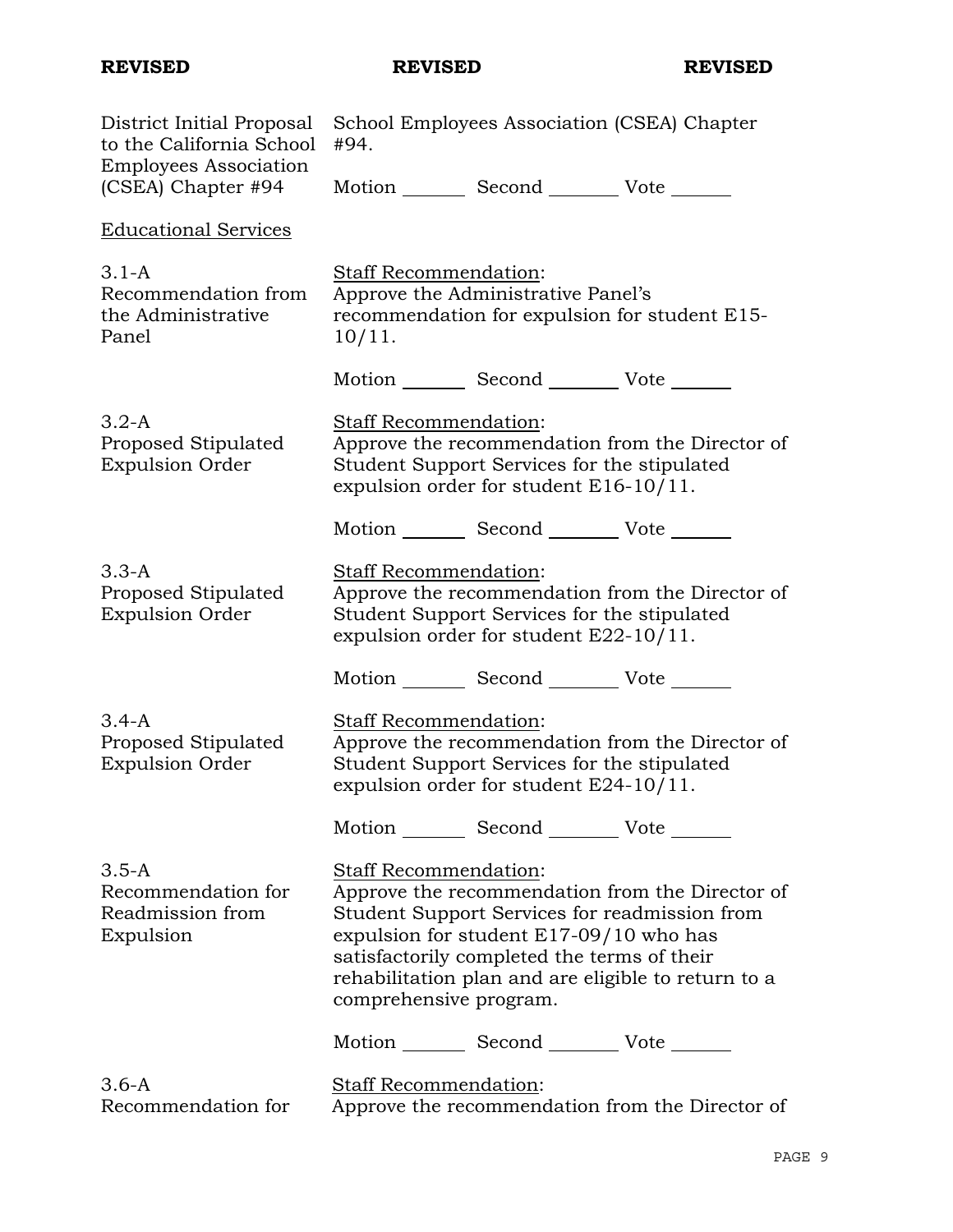| District Initial Proposal<br>to the California School            | School Employees Association (CSEA) Chapter<br>#94. |                                                                                                                  |                                                                                                                                                         |
|------------------------------------------------------------------|-----------------------------------------------------|------------------------------------------------------------------------------------------------------------------|---------------------------------------------------------------------------------------------------------------------------------------------------------|
| <b>Employees Association</b><br>(CSEA) Chapter #94               |                                                     |                                                                                                                  | Motion _________ Second __________ Vote _______                                                                                                         |
| <b>Educational Services</b>                                      |                                                     |                                                                                                                  |                                                                                                                                                         |
| $3.1-A$<br>Recommendation from<br>the Administrative<br>Panel    | Staff Recommendation:<br>$10/11$ .                  | Approve the Administrative Panel's                                                                               | recommendation for expulsion for student E15-                                                                                                           |
|                                                                  |                                                     |                                                                                                                  | Motion _________ Second __________ Vote _______                                                                                                         |
| $3.2-A$<br>Proposed Stipulated<br><b>Expulsion Order</b>         | Staff Recommendation:                               | expulsion order for student $E16-10/11$ .                                                                        | Approve the recommendation from the Director of<br>Student Support Services for the stipulated                                                          |
|                                                                  |                                                     |                                                                                                                  | Motion _________ Second __________ Vote _______                                                                                                         |
| $3.3-A$<br>Proposed Stipulated<br><b>Expulsion Order</b>         | Staff Recommendation:                               | expulsion order for student E22-10/11.                                                                           | Approve the recommendation from the Director of<br>Student Support Services for the stipulated                                                          |
|                                                                  |                                                     |                                                                                                                  | Motion _________ Second __________ Vote _______                                                                                                         |
| $3.4-A$<br>Proposed Stipulated<br><b>Expulsion Order</b>         | Staff Recommendation:                               | expulsion order for student $E24-10/11$ .                                                                        | Approve the recommendation from the Director of<br>Student Support Services for the stipulated                                                          |
|                                                                  |                                                     |                                                                                                                  | Motion Second Vote                                                                                                                                      |
| $3.5 - A$<br>Recommendation for<br>Readmission from<br>Expulsion | Staff Recommendation:                               | expulsion for student E17-09/10 who has<br>satisfactorily completed the terms of their<br>comprehensive program. | Approve the recommendation from the Director of<br>Student Support Services for readmission from<br>rehabilitation plan and are eligible to return to a |
|                                                                  |                                                     |                                                                                                                  | Motion _________ Second __________ Vote _______                                                                                                         |
| $3.6-A$<br>Recommendation for                                    | <b>Staff Recommendation:</b>                        |                                                                                                                  | Approve the recommendation from the Director of                                                                                                         |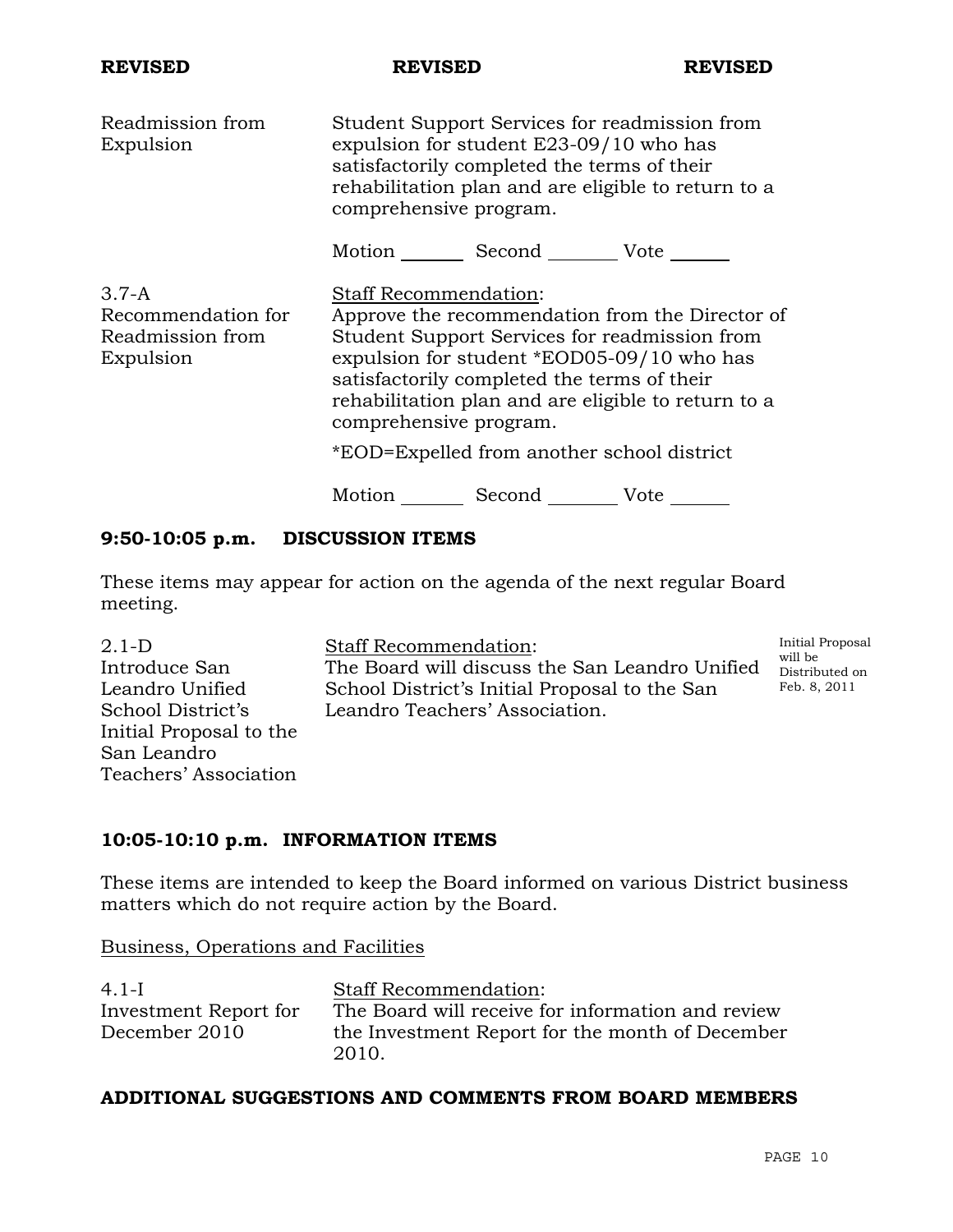| Readmission from<br>Expulsion                                    | Student Support Services for readmission from<br>expulsion for student E23-09/10 who has<br>satisfactorily completed the terms of their<br>rehabilitation plan and are eligible to return to a<br>comprehensive program.                                                                                                                                     |
|------------------------------------------------------------------|--------------------------------------------------------------------------------------------------------------------------------------------------------------------------------------------------------------------------------------------------------------------------------------------------------------------------------------------------------------|
|                                                                  | Motion _________ Second _________ Vote _______                                                                                                                                                                                                                                                                                                               |
| $3.7 - A$<br>Recommendation for<br>Readmission from<br>Expulsion | <b>Staff Recommendation:</b><br>Approve the recommendation from the Director of<br>Student Support Services for readmission from<br>expulsion for student *EOD05-09/10 who has<br>satisfactorily completed the terms of their<br>rehabilitation plan and are eligible to return to a<br>comprehensive program.<br>*EOD=Expelled from another school district |
|                                                                  | Second Vote<br>$Motion$ <sub>__________</sub>                                                                                                                                                                                                                                                                                                                |

## **9:50-10:05 p.m. DISCUSSION ITEMS**

These items may appear for action on the agenda of the next regular Board meeting.

2.1-D Introduce San Leandro Unified School District's Initial Proposal to the San Leandro Teachers' Association Staff Recommendation: The Board will discuss the San Leandro Unified School District's Initial Proposal to the San Leandro Teachers' Association. Initial Proposal will be Distributed on Feb. 8, 2011

## **10:05-10:10 p.m. INFORMATION ITEMS**

These items are intended to keep the Board informed on various District business matters which do not require action by the Board.

Business, Operations and Facilities

| $4.1-I$               | <b>Staff Recommendation:</b>                      |
|-----------------------|---------------------------------------------------|
| Investment Report for | The Board will receive for information and review |
| December 2010         | the Investment Report for the month of December   |
|                       | 2010.                                             |

### **ADDITIONAL SUGGESTIONS AND COMMENTS FROM BOARD MEMBERS**